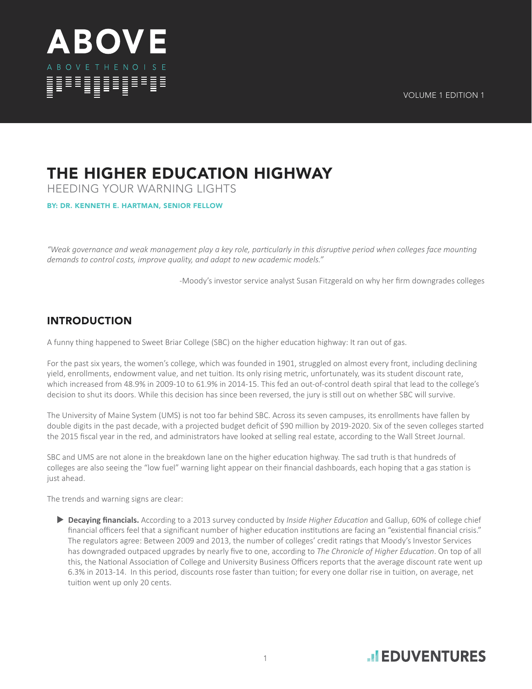

## THE HIGHER EDUCATION HIGHWAY

HEEDING YOUR WARNING LIGHTS

BY: DR. KENNETH E. HARTMAN, SENIOR FELLOW

*"Weak governance and weak management play a key role, particularly in this disruptive period when colleges face mounting demands to control costs, improve quality, and adapt to new academic models."*

-Moody's investor service analyst Susan Fitzgerald on why her firm downgrades colleges

## INTRODUCTION

A funny thing happened to Sweet Briar College (SBC) on the higher education highway: It ran out of gas.

For the past six years, the women's college, which was founded in 1901, struggled on almost every front, including declining yield, enrollments, endowment value, and net tuition. Its only rising metric, unfortunately, was its student discount rate, which increased from 48.9% in 2009-10 to 61.9% in 2014-15. This fed an out-of-control death spiral that lead to the college's decision to shut its doors. While this decision has since been reversed, the jury is still out on whether SBC will survive.

The University of Maine System (UMS) is not too far behind SBC. Across its seven campuses, its enrollments have fallen by double digits in the past decade, with a projected budget deficit of \$90 million by 2019-2020. Six of the seven colleges started the 2015 fiscal year in the red, and administrators have looked at selling real estate, according to the Wall Street Journal.

SBC and UMS are not alone in the breakdown lane on the higher education highway. The sad truth is that hundreds of colleges are also seeing the "low fuel" warning light appear on their financial dashboards, each hoping that a gas station is just ahead.

The trends and warning signs are clear:

 **Decaying financials.** According to a 2013 survey conducted by *Inside Higher Education* and Gallup, 60% of college chief financial officers feel that a significant number of higher education institutions are facing an "existential financial crisis." The regulators agree: Between 2009 and 2013, the number of colleges' credit ratings that Moody's Investor Services has downgraded outpaced upgrades by nearly five to one, according to *The Chronicle of Higher Education*. On top of all this, the National Association of College and University Business Officers reports that the average discount rate went up 6.3% in 2013-14. In this period, discounts rose faster than tuition; for every one dollar rise in tuition, on average, net tuition went up only 20 cents.

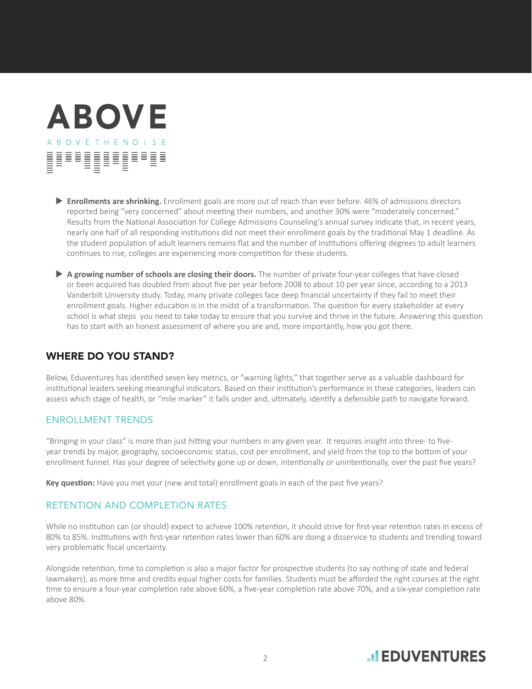# **ABOVE ABOVETHENOISE** HULLU VALLE

- **Enrollments are shrinking.** Enrollment goals are more out of reach than ever before. 46% of admissions directors reported being "very concerned" about meeting their numbers, and another 30% were "moderately concerned." Results from the National Association for College Admissions Counseling's annual survey indicate that, in recent years, nearly one half of all responding institutions did not meet their enrollment goals by the traditional May 1 deadline. As the student population of adult learners remains flat and the number of institutions offering degrees to adult learners continues to rise, colleges are experiencing more competition for these students.
- **A growing number of schools are closing their doors.** The number of private four-year colleges that have closed or been acquired has doubled from about five per year before 2008 to about 10 per year since, according to a 2013 Vanderbilt University study. Today, many private colleges face deep financial uncertainty if they fail to meet their enrollment goals. Higher education is in the midst of a transformation. The question for every stakeholder at every school is what steps you need to take today to ensure that you survive and thrive in the future. Answering this question has to start with an honest assessment of where you are and, more importantly, how you got there.

## WHERE DO YOU STAND?

Below, Eduventures has identified seven key metrics, or "warning lights," that together serve as a valuable dashboard for institutional leaders seeking meaningful indicators. Based on their institution's performance in these categories, leaders can assess which stage of health, or "mile marker" it falls under and, ultimately, identify a defensible path to navigate forward.

### ENROLLMENT TRENDS

"Bringing in your class" is more than just hitting your numbers in any given year. It requires insight into three- to fiveyear trends by major, geography, socioeconomic status, cost per enrollment, and yield from the top to the bottom of your enrollment funnel. Has your degree of selectivity gone up or down, intentionally or unintentionally, over the past five years?

**Key question:** Have you met your (new and total) enrollment goals in each of the past five years?

### RETENTION AND COMPLETION RATES

While no institution can (or should) expect to achieve 100% retention, it should strive for first-year retention rates in excess of 80% to 85%. Institutions with first-year retention rates lower than 60% are doing a disservice to students and trending toward very problematic fiscal uncertainty.

Alongside retention, time to completion is also a major factor for prospective students (to say nothing of state and federal lawmakers), as more time and credits equal higher costs for families. Students must be afforded the right courses at the right time to ensure a four-year completion rate above 60%, a five-year completion rate above 70%, and a six-year completion rate above 80%.

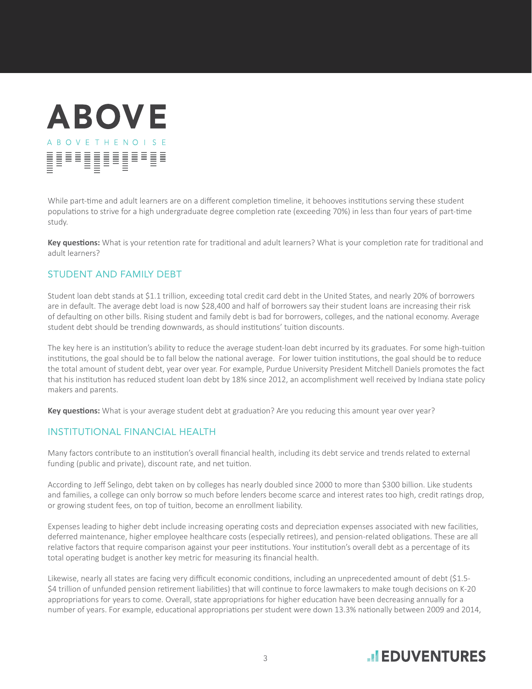# **ABOVE ABOVETHENOISE** HULLU VALLE

While part-time and adult learners are on a different completion timeline, it behooves institutions serving these student populations to strive for a high undergraduate degree completion rate (exceeding 70%) in less than four years of part-time study.

**Key questions:** What is your retention rate for traditional and adult learners? What is your completion rate for traditional and adult learners?

### STUDENT AND FAMILY DEBT

Student loan debt stands at \$1.1 trillion, exceeding total credit card debt in the United States, and nearly 20% of borrowers are in default. The average debt load is now \$28,400 and half of borrowers say their student loans are increasing their risk of defaulting on other bills. Rising student and family debt is bad for borrowers, colleges, and the national economy. Average student debt should be trending downwards, as should institutions' tuition discounts.

The key here is an institution's ability to reduce the average student-loan debt incurred by its graduates. For some high-tuition institutions, the goal should be to fall below the national average. For lower tuition institutions, the goal should be to reduce the total amount of student debt, year over year. For example, Purdue University President Mitchell Daniels promotes the fact that his institution has reduced student loan debt by 18% since 2012, an accomplishment well received by Indiana state policy makers and parents.

**Key questions:** What is your average student debt at graduation? Are you reducing this amount year over year?

#### INSTITUTIONAL FINANCIAL HEALTH

Many factors contribute to an institution's overall financial health, including its debt service and trends related to external funding (public and private), discount rate, and net tuition.

According to Jeff Selingo, debt taken on by colleges has nearly doubled since 2000 to more than \$300 billion. Like students and families, a college can only borrow so much before lenders become scarce and interest rates too high, credit ratings drop, or growing student fees, on top of tuition, become an enrollment liability.

Expenses leading to higher debt include increasing operating costs and depreciation expenses associated with new facilities, deferred maintenance, higher employee healthcare costs (especially retirees), and pension-related obligations. These are all relative factors that require comparison against your peer institutions. Your institution's overall debt as a percentage of its total operating budget is another key metric for measuring its financial health.

Likewise, nearly all states are facing very difficult economic conditions, including an unprecedented amount of debt (\$1.5- \$4 trillion of unfunded pension retirement liabilities) that will continue to force lawmakers to make tough decisions on K-20 appropriations for years to come. Overall, state appropriations for higher education have been decreasing annually for a number of years. For example, educational appropriations per student were down 13.3% nationally between 2009 and 2014,

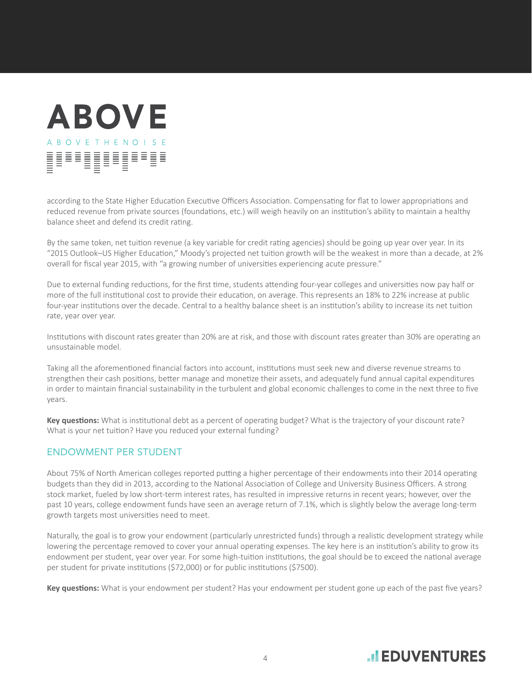# **ABOVE ABOVETHENOISE** <u> |</u>

according to the State Higher Education Executive Officers Association. Compensating for flat to lower appropriations and reduced revenue from private sources (foundations, etc.) will weigh heavily on an institution's ability to maintain a healthy balance sheet and defend its credit rating.

By the same token, net tuition revenue (a key variable for credit rating agencies) should be going up year over year. In its "2015 Outlook–US Higher Education," Moody's projected net tuition growth will be the weakest in more than a decade, at 2% overall for fiscal year 2015, with "a growing number of universities experiencing acute pressure."

Due to external funding reductions, for the first time, students attending four-year colleges and universities now pay half or more of the full institutional cost to provide their education, on average. This represents an 18% to 22% increase at public four-year institutions over the decade. Central to a healthy balance sheet is an institution's ability to increase its net tuition rate, year over year.

Institutions with discount rates greater than 20% are at risk, and those with discount rates greater than 30% are operating an unsustainable model.

Taking all the aforementioned financial factors into account, institutions must seek new and diverse revenue streams to strengthen their cash positions, better manage and monetize their assets, and adequately fund annual capital expenditures in order to maintain financial sustainability in the turbulent and global economic challenges to come in the next three to five years.

**Key questions:** What is institutional debt as a percent of operating budget? What is the trajectory of your discount rate? What is your net tuition? Have you reduced your external funding?

### ENDOWMENT PER STUDENT

About 75% of North American colleges reported putting a higher percentage of their endowments into their 2014 operating budgets than they did in 2013, according to the National Association of College and University Business Officers. A strong stock market, fueled by low short-term interest rates, has resulted in impressive returns in recent years; however, over the past 10 years, college endowment funds have seen an average return of 7.1%, which is slightly below the average long-term growth targets most universities need to meet.

Naturally, the goal is to grow your endowment (particularly unrestricted funds) through a realistic development strategy while lowering the percentage removed to cover your annual operating expenses. The key here is an institution's ability to grow its endowment per student, year over year. For some high-tuition institutions, the goal should be to exceed the national average per student for private institutions (\$72,000) or for public institutions (\$7500).

**Key questions:** What is your endowment per student? Has your endowment per student gone up each of the past five years?

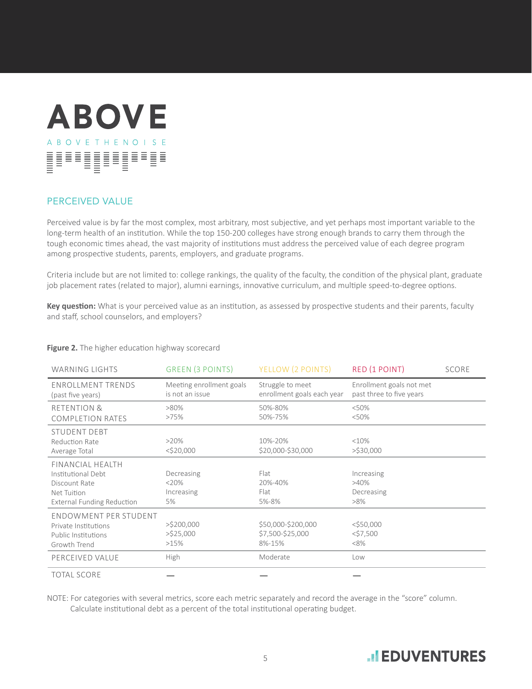

## PERCEIVED VALUE

Perceived value is by far the most complex, most arbitrary, most subjective, and yet perhaps most important variable to the long-term health of an institution. While the top 150-200 colleges have strong enough brands to carry them through the tough economic times ahead, the vast majority of institutions must address the perceived value of each degree program among prospective students, parents, employers, and graduate programs.

Criteria include but are not limited to: college rankings, the quality of the faculty, the condition of the physical plant, graduate job placement rates (related to major), alumni earnings, innovative curriculum, and multiple speed-to-degree options.

**Key question:** What is your perceived value as an institution, as assessed by prospective students and their parents, faculty and staff, school counselors, and employers?

| <b>WARNING LIGHTS</b>                                                                                              | <b>GREEN (3 POINTS)</b>                     | YELLOW (2 POINTS)                                | RED (1 POINT)                                        | <b>SCORE</b> |
|--------------------------------------------------------------------------------------------------------------------|---------------------------------------------|--------------------------------------------------|------------------------------------------------------|--------------|
| <b>ENROLLMENT TRENDS</b><br>(past five years)                                                                      | Meeting enrollment goals<br>is not an issue | Struggle to meet<br>enrollment goals each year   | Enrollment goals not met<br>past three to five years |              |
| <b>RETENTION &amp;</b><br><b>COMPLETION RATES</b>                                                                  | $>80\%$<br>>75%                             | 50%-80%<br>50%-75%                               | < 50%<br>< 50%                                       |              |
| <b>STUDENT DEBT</b><br>Reduction Rate<br>Average Total                                                             | $>20\%$<br>$<$ \$20,000                     | 10%-20%<br>\$20,000-\$30,000                     | <10%<br>>\$30,000                                    |              |
| <b>FINANCIAL HEALTH</b><br>Institutional Debt<br>Discount Rate<br>Net Tuition<br><b>External Funding Reduction</b> | Decreasing<br>$<20\%$<br>Increasing<br>5%   | Flat<br>20%-40%<br>Flat<br>5%-8%                 | Increasing<br>$>40\%$<br>Decreasing<br>$>8\%$        |              |
| ENDOWMENT PER STUDENT<br>Private Institutions<br>Public Institutions<br>Growth Trend                               | $>$ \$200,000<br>$>$ \$25,000<br>>15%       | \$50,000-\$200,000<br>\$7,500-\$25,000<br>8%-15% | $<$ \$50,000<br>$<$ \$7,500<br>$<8\%$                |              |
| PERCEIVED VALUE                                                                                                    | High                                        | Moderate                                         | Low                                                  |              |
| <b>TOTAL SCORE</b>                                                                                                 |                                             |                                                  |                                                      |              |

#### **Figure 2.** The higher education highway scorecard

NOTE: For categories with several metrics, score each metric separately and record the average in the "score" column. Calculate institutional debt as a percent of the total institutional operating budget.

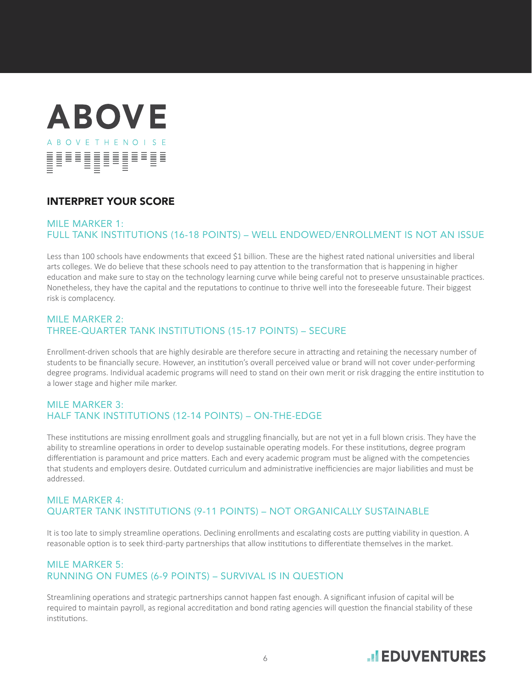

## INTERPRET YOUR SCORE

#### MILE MARKER 1: FULL TANK INSTITUTIONS (16-18 POINTS) – WELL ENDOWED/ENROLLMENT IS NOT AN ISSUE

Less than 100 schools have endowments that exceed \$1 billion. These are the highest rated national universities and liberal arts colleges. We do believe that these schools need to pay attention to the transformation that is happening in higher education and make sure to stay on the technology learning curve while being careful not to preserve unsustainable practices. Nonetheless, they have the capital and the reputations to continue to thrive well into the foreseeable future. Their biggest risk is complacency.

#### MILE MARKER 2: THREE-QUARTER TANK INSTITUTIONS (15-17 POINTS) – SECURE

Enrollment-driven schools that are highly desirable are therefore secure in attracting and retaining the necessary number of students to be financially secure. However, an institution's overall perceived value or brand will not cover under-performing degree programs. Individual academic programs will need to stand on their own merit or risk dragging the entire institution to a lower stage and higher mile marker.

#### MILE MARKER 3: HALF TANK INSTITUTIONS (12-14 POINTS) – ON-THE-EDGE

These institutions are missing enrollment goals and struggling financially, but are not yet in a full blown crisis. They have the ability to streamline operations in order to develop sustainable operating models. For these institutions, degree program differentiation is paramount and price matters. Each and every academic program must be aligned with the competencies that students and employers desire. Outdated curriculum and administrative inefficiencies are major liabilities and must be addressed.

## MILE MARKER 4: QUARTER TANK INSTITUTIONS (9-11 POINTS) – NOT ORGANICALLY SUSTAINABLE

It is too late to simply streamline operations. Declining enrollments and escalating costs are putting viability in question. A reasonable option is to seek third-party partnerships that allow institutions to differentiate themselves in the market.

## MILE MARKER 5: RUNNING ON FUMES (6-9 POINTS) – SURVIVAL IS IN QUESTION

Streamlining operations and strategic partnerships cannot happen fast enough. A significant infusion of capital will be required to maintain payroll, as regional accreditation and bond rating agencies will question the financial stability of these institutions.